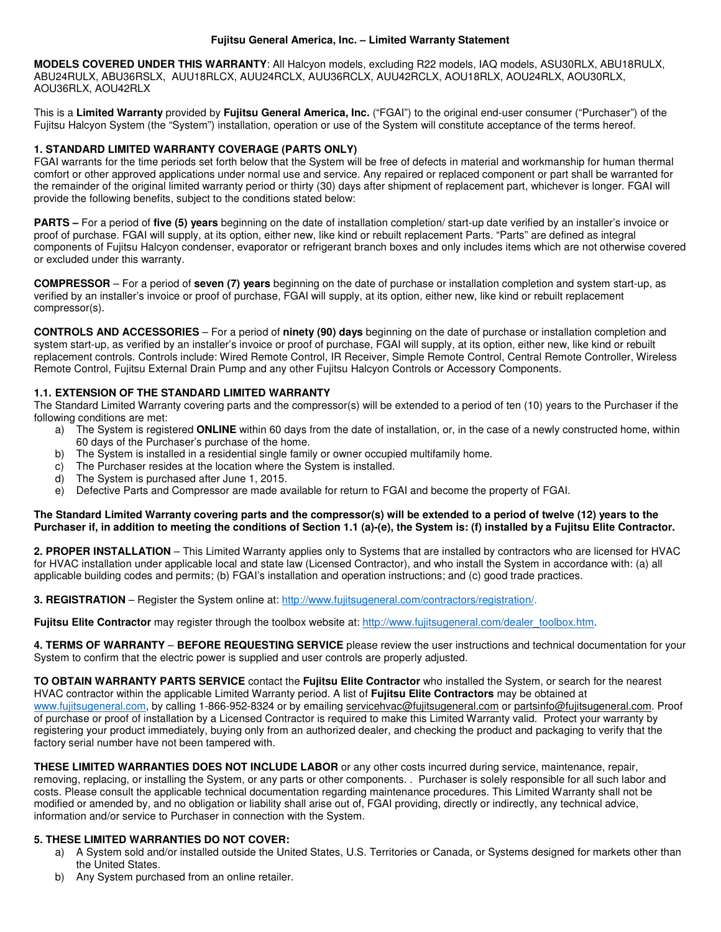### **Fujitsu General America, Inc. – Limited Warranty Statement**

**MODELS COVERED UNDER THIS WARRANTY**: All Halcyon models, excluding R22 models, IAQ models, ASU30RLX, ABU18RULX, ABU24RULX, ABU36RSLX, AUU18RLCX, AUU24RCLX, AUU36RCLX, AUU42RCLX, AOU18RLX, AOU24RLX, AOU30RLX, AOU36RLX, AOU42RLX

This is a **Limited Warranty** provided by **Fujitsu General America, Inc.** ("FGAI") to the original end-user consumer ("Purchaser") of the Fujitsu Halcyon System (the "System") installation, operation or use of the System will constitute acceptance of the terms hereof.

# **1. STANDARD LIMITED WARRANTY COVERAGE (PARTS ONLY)**

FGAI warrants for the time periods set forth below that the System will be free of defects in material and workmanship for human thermal comfort or other approved applications under normal use and service. Any repaired or replaced component or part shall be warranted for the remainder of the original limited warranty period or thirty (30) days after shipment of replacement part, whichever is longer. FGAI will provide the following benefits, subject to the conditions stated below:

**PARTS –** For a period of **five (5) years** beginning on the date of installation completion/ start-up date verified by an installer's invoice or proof of purchase. FGAI will supply, at its option, either new, like kind or rebuilt replacement Parts. "Parts" are defined as integral components of Fujitsu Halcyon condenser, evaporator or refrigerant branch boxes and only includes items which are not otherwise covered or excluded under this warranty.

**COMPRESSOR** – For a period of **seven (7) years** beginning on the date of purchase or installation completion and system start-up, as verified by an installer's invoice or proof of purchase, FGAI will supply, at its option, either new, like kind or rebuilt replacement compressor(s).

**CONTROLS AND ACCESSORIES** – For a period of **ninety (90) days** beginning on the date of purchase or installation completion and system start-up, as verified by an installer's invoice or proof of purchase, FGAI will supply, at its option, either new, like kind or rebuilt replacement controls. Controls include: Wired Remote Control, IR Receiver, Simple Remote Control, Central Remote Controller, Wireless Remote Control, Fujitsu External Drain Pump and any other Fujitsu Halcyon Controls or Accessory Components.

# **1.1. EXTENSION OF THE STANDARD LIMITED WARRANTY**

The Standard Limited Warranty covering parts and the compressor(s) will be extended to a period of ten (10) years to the Purchaser if the following conditions are met:

- a) The System is registered **ONLINE** within 60 days from the date of installation, or, in the case of a newly constructed home, within 60 days of the Purchaser's purchase of the home.
- b) The System is installed in a residential single family or owner occupied multifamily home.
- c) The Purchaser resides at the location where the System is installed.
- d) The System is purchased after June 1, 2015.
- e) Defective Parts and Compressor are made available for return to FGAI and become the property of FGAI.

### **The Standard Limited Warranty covering parts and the compressor(s) will be extended to a period of twelve (12) years to the Purchaser if, in addition to meeting the conditions of Section 1.1 (a)-(e), the System is: (f) installed by a Fujitsu Elite Contractor.**

**2. PROPER INSTALLATION** – This Limited Warranty applies only to Systems that are installed by contractors who are licensed for HVAC for HVAC installation under applicable local and state law (Licensed Contractor), and who install the System in accordance with: (a) all applicable building codes and permits; (b) FGAI's installation and operation instructions; and (c) good trade practices.

**3. REGISTRATION** – Register the System online at: http://www.fujitsugeneral.com/contractors/registration/.

Fujitsu Elite Contractor may register through the toolbox website at: http://www.fujitsugeneral.com/dealer\_toolbox.htm.

**4. TERMS OF WARRANTY** – **BEFORE REQUESTING SERVICE** please review the user instructions and technical documentation for your System to confirm that the electric power is supplied and user controls are properly adjusted.

**TO OBTAIN WARRANTY PARTS SERVICE** contact the **Fujitsu Elite Contractor** who installed the System, or search for the nearest HVAC contractor within the applicable Limited Warranty period. A list of **Fujitsu Elite Contractors** may be obtained at www.fujitsugeneral.com, by calling 1-866-952-8324 or by emailing servicehvac@fujitsugeneral.com or partsinfo@fujitsugeneral.com. Proof of purchase or proof of installation by a Licensed Contractor is required to make this Limited Warranty valid. Protect your warranty by registering your product immediately, buying only from an authorized dealer, and checking the product and packaging to verify that the factory serial number have not been tampered with.

**THESE LIMITED WARRANTIES DOES NOT INCLUDE LABOR** or any other costs incurred during service, maintenance, repair, removing, replacing, or installing the System, or any parts or other components. . Purchaser is solely responsible for all such labor and costs. Please consult the applicable technical documentation regarding maintenance procedures. This Limited Warranty shall not be modified or amended by, and no obligation or liability shall arise out of, FGAI providing, directly or indirectly, any technical advice, information and/or service to Purchaser in connection with the System.

# **5. THESE LIMITED WARRANTIES DO NOT COVER:**

- a) A System sold and/or installed outside the United States, U.S. Territories or Canada, or Systems designed for markets other than the United States.
- b) Any System purchased from an online retailer.